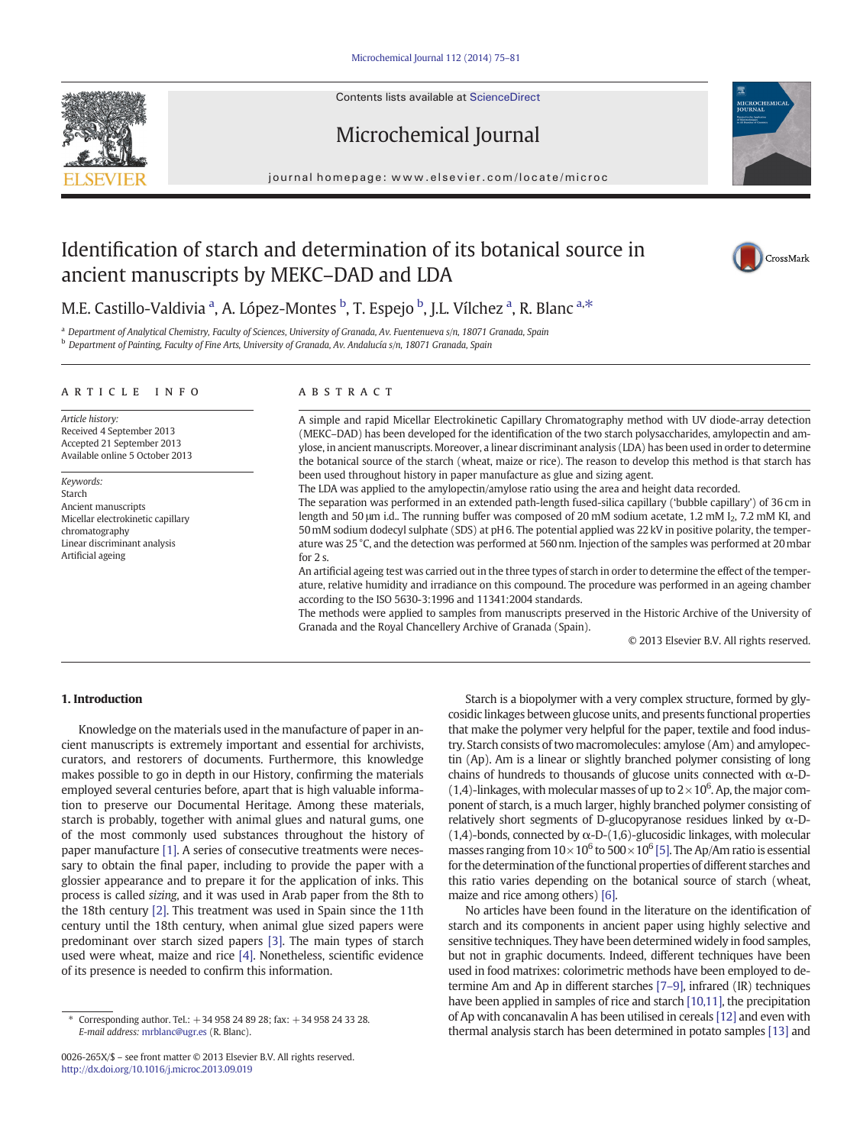Contents lists available at ScienceDirect





journal homepage: www.elsevier.com/locate/microc

# Identification of starch and determination of its botanical source in ancient manuscripts by MEKC–DAD and LDA



## M.E. Castillo-Valdivia <sup>a</sup>, A. López-Montes <sup>b</sup>, T. Espejo <sup>b</sup>, J.L. Vílchez <sup>a</sup>, R. Blanc <sup>a,\*</sup>

<sup>a</sup> Department of Analytical Chemistry, Faculty of Sciences, University of Granada, Av. Fuentenueva s/n, 18071 Granada, Spain <sup>b</sup> Department of Painting, Faculty of Fine Arts, University of Granada, Av. Andalucía s/n, 18071 Granada, Spain

#### article info abstract

Article history: Received 4 September 2013 Accepted 21 September 2013 Available online 5 October 2013

Keywords: Starch Ancient manuscripts Micellar electrokinetic capillary chromatography Linear discriminant analysis Artificial ageing

A simple and rapid Micellar Electrokinetic Capillary Chromatography method with UV diode-array detection (MEKC–DAD) has been developed for the identification of the two starch polysaccharides, amylopectin and amylose, in ancient manuscripts. Moreover, a linear discriminant analysis (LDA) has been used in order to determine the botanical source of the starch (wheat, maize or rice). The reason to develop this method is that starch has been used throughout history in paper manufacture as glue and sizing agent.

The LDA was applied to the amylopectin/amylose ratio using the area and height data recorded.

The separation was performed in an extended path-length fused-silica capillary ('bubble capillary') of 36 cm in length and 50 µm i.d.. The running buffer was composed of 20 mM sodium acetate, 1.2 mM I<sub>2</sub>, 7.2 mM KI, and 50mM sodium dodecyl sulphate (SDS) at pH 6. The potential applied was 22 kV in positive polarity, the temperature was 25 °C, and the detection was performed at 560 nm. Injection of the samples was performed at 20mbar for 2 s.

An artificial ageing test was carried out in the three types of starch in order to determine the effect of the temperature, relative humidity and irradiance on this compound. The procedure was performed in an ageing chamber according to the ISO 5630-3:1996 and 11341:2004 standards.

The methods were applied to samples from manuscripts preserved in the Historic Archive of the University of Granada and the Royal Chancellery Archive of Granada (Spain).

© 2013 Elsevier B.V. All rights reserved.

#### 1. Introduction

Knowledge on the materials used in the manufacture of paper in ancient manuscripts is extremely important and essential for archivists, curators, and restorers of documents. Furthermore, this knowledge makes possible to go in depth in our History, confirming the materials employed several centuries before, apart that is high valuable information to preserve our Documental Heritage. Among these materials, starch is probably, together with animal glues and natural gums, one of the most commonly used substances throughout the history of paper manufacture [\[1\]](#page-5-0). A series of consecutive treatments were necessary to obtain the final paper, including to provide the paper with a glossier appearance and to prepare it for the application of inks. This process is called sizing, and it was used in Arab paper from the 8th to the 18th century [\[2\]](#page-5-0). This treatment was used in Spain since the 11th century until the 18th century, when animal glue sized papers were predominant over starch sized papers [\[3\].](#page-5-0) The main types of starch used were wheat, maize and rice [\[4\]](#page-5-0). Nonetheless, scientific evidence of its presence is needed to confirm this information.

Starch is a biopolymer with a very complex structure, formed by glycosidic linkages between glucose units, and presents functional properties that make the polymer very helpful for the paper, textile and food industry. Starch consists of two macromolecules: amylose (Am) and amylopectin (Ap). Am is a linear or slightly branched polymer consisting of long chains of hundreds to thousands of glucose units connected with  $\alpha$ -D-(1,4)-linkages, with molecular masses of up to  $2 \times 10^6$ . Ap, the major component of starch, is a much larger, highly branched polymer consisting of relatively short segments of D-glucopyranose residues linked by  $\alpha$ -D-(1,4)-bonds, connected by  $\alpha$ -D-(1,6)-glucosidic linkages, with molecular masses ranging from  $10 \times 10^6$  to  $500 \times 10^6$  [\[5\].](#page-5-0) The Ap/Am ratio is essential for the determination of the functional properties of different starches and this ratio varies depending on the botanical source of starch (wheat, maize and rice among others) [\[6\]](#page-5-0).

No articles have been found in the literature on the identification of starch and its components in ancient paper using highly selective and sensitive techniques. They have been determined widely in food samples, but not in graphic documents. Indeed, different techniques have been used in food matrixes: colorimetric methods have been employed to determine Am and Ap in different starches [\[7](#page-5-0)–9], infrared (IR) techniques have been applied in samples of rice and starch [\[10,11\]](#page-5-0), the precipitation of Ap with concanavalin A has been utilised in cereals [\[12\]](#page-5-0) and even with thermal analysis starch has been determined in potato samples [\[13\]](#page-5-0) and

<sup>⁎</sup> Corresponding author. Tel.: +34 958 24 89 28; fax: +34 958 24 33 28. E-mail address: [mrblanc@ugr.es](mailto:mrblanc@ugr.es) (R. Blanc).

<sup>0026-265</sup>X/\$ – see front matter © 2013 Elsevier B.V. All rights reserved. <http://dx.doi.org/10.1016/j.microc.2013.09.019>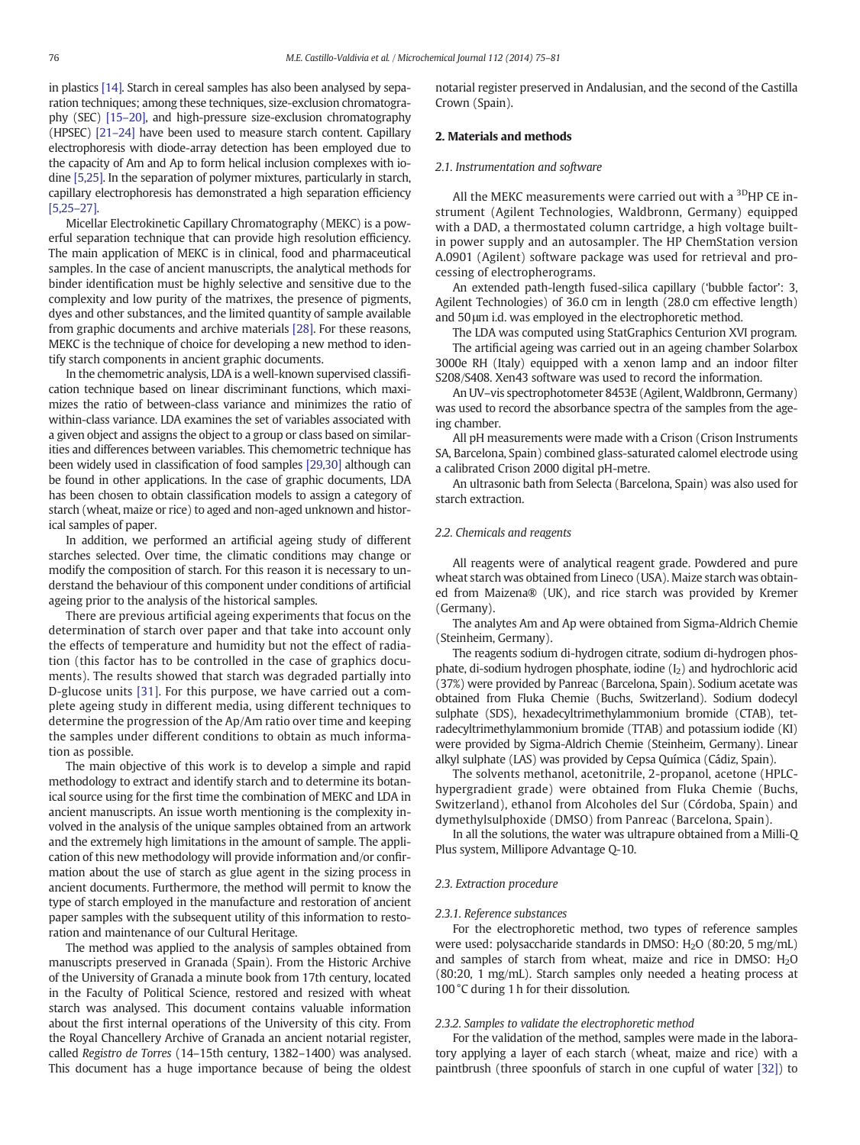<span id="page-1-0"></span>in plastics [\[14\]](#page-5-0). Starch in cereal samples has also been analysed by separation techniques; among these techniques, size-exclusion chromatography (SEC) [15–[20\],](#page-5-0) and high-pressure size-exclusion chromatography (HPSEC) [\[21](#page-6-0)–24] have been used to measure starch content. Capillary electrophoresis with diode-array detection has been employed due to the capacity of Am and Ap to form helical inclusion complexes with iodine [\[5,25\]](#page-5-0). In the separation of polymer mixtures, particularly in starch, capillary electrophoresis has demonstrated a high separation efficiency [\[5,25](#page-5-0)–27].

Micellar Electrokinetic Capillary Chromatography (MEKC) is a powerful separation technique that can provide high resolution efficiency. The main application of MEKC is in clinical, food and pharmaceutical samples. In the case of ancient manuscripts, the analytical methods for binder identification must be highly selective and sensitive due to the complexity and low purity of the matrixes, the presence of pigments, dyes and other substances, and the limited quantity of sample available from graphic documents and archive materials [\[28\].](#page-6-0) For these reasons, MEKC is the technique of choice for developing a new method to identify starch components in ancient graphic documents.

In the chemometric analysis, LDA is a well-known supervised classification technique based on linear discriminant functions, which maximizes the ratio of between-class variance and minimizes the ratio of within-class variance. LDA examines the set of variables associated with a given object and assigns the object to a group or class based on similarities and differences between variables. This chemometric technique has been widely used in classification of food samples [\[29,30\]](#page-6-0) although can be found in other applications. In the case of graphic documents, LDA has been chosen to obtain classification models to assign a category of starch (wheat, maize or rice) to aged and non-aged unknown and historical samples of paper.

In addition, we performed an artificial ageing study of different starches selected. Over time, the climatic conditions may change or modify the composition of starch. For this reason it is necessary to understand the behaviour of this component under conditions of artificial ageing prior to the analysis of the historical samples.

There are previous artificial ageing experiments that focus on the determination of starch over paper and that take into account only the effects of temperature and humidity but not the effect of radiation (this factor has to be controlled in the case of graphics documents). The results showed that starch was degraded partially into D-glucose units [\[31\].](#page-6-0) For this purpose, we have carried out a complete ageing study in different media, using different techniques to determine the progression of the Ap/Am ratio over time and keeping the samples under different conditions to obtain as much information as possible.

The main objective of this work is to develop a simple and rapid methodology to extract and identify starch and to determine its botanical source using for the first time the combination of MEKC and LDA in ancient manuscripts. An issue worth mentioning is the complexity involved in the analysis of the unique samples obtained from an artwork and the extremely high limitations in the amount of sample. The application of this new methodology will provide information and/or confirmation about the use of starch as glue agent in the sizing process in ancient documents. Furthermore, the method will permit to know the type of starch employed in the manufacture and restoration of ancient paper samples with the subsequent utility of this information to restoration and maintenance of our Cultural Heritage.

The method was applied to the analysis of samples obtained from manuscripts preserved in Granada (Spain). From the Historic Archive of the University of Granada a minute book from 17th century, located in the Faculty of Political Science, restored and resized with wheat starch was analysed. This document contains valuable information about the first internal operations of the University of this city. From the Royal Chancellery Archive of Granada an ancient notarial register, called Registro de Torres (14–15th century, 1382–1400) was analysed. This document has a huge importance because of being the oldest notarial register preserved in Andalusian, and the second of the Castilla Crown (Spain).

### 2. Materials and methods

#### 2.1. Instrumentation and software

All the MEKC measurements were carried out with a <sup>3D</sup>HP CE instrument (Agilent Technologies, Waldbronn, Germany) equipped with a DAD, a thermostated column cartridge, a high voltage builtin power supply and an autosampler. The HP ChemStation version A.0901 (Agilent) software package was used for retrieval and processing of electropherograms.

An extended path-length fused-silica capillary ('bubble factor': 3, Agilent Technologies) of 36.0 cm in length (28.0 cm effective length) and 50 μm i.d. was employed in the electrophoretic method.

The LDA was computed using StatGraphics Centurion XVI program.

The artificial ageing was carried out in an ageing chamber Solarbox 3000e RH (Italy) equipped with a xenon lamp and an indoor filter S208/S408. Xen43 software was used to record the information.

An UV–vis spectrophotometer 8453E (Agilent, Waldbronn, Germany) was used to record the absorbance spectra of the samples from the ageing chamber.

All pH measurements were made with a Crison (Crison Instruments SA, Barcelona, Spain) combined glass-saturated calomel electrode using a calibrated Crison 2000 digital pH-metre.

An ultrasonic bath from Selecta (Barcelona, Spain) was also used for starch extraction.

#### 2.2. Chemicals and reagents

All reagents were of analytical reagent grade. Powdered and pure wheat starch was obtained from Lineco (USA). Maize starch was obtained from Maizena® (UK), and rice starch was provided by Kremer (Germany).

The analytes Am and Ap were obtained from Sigma-Aldrich Chemie (Steinheim, Germany).

The reagents sodium di-hydrogen citrate, sodium di-hydrogen phosphate, di-sodium hydrogen phosphate, iodine  $(I_2)$  and hydrochloric acid (37%) were provided by Panreac (Barcelona, Spain). Sodium acetate was obtained from Fluka Chemie (Buchs, Switzerland). Sodium dodecyl sulphate (SDS), hexadecyltrimethylammonium bromide (CTAB), tetradecyltrimethylammonium bromide (TTAB) and potassium iodide (KI) were provided by Sigma-Aldrich Chemie (Steinheim, Germany). Linear alkyl sulphate (LAS) was provided by Cepsa Química (Cádiz, Spain).

The solvents methanol, acetonitrile, 2-propanol, acetone (HPLChypergradient grade) were obtained from Fluka Chemie (Buchs, Switzerland), ethanol from Alcoholes del Sur (Córdoba, Spain) and dymethylsulphoxide (DMSO) from Panreac (Barcelona, Spain).

In all the solutions, the water was ultrapure obtained from a Milli-Q Plus system, Millipore Advantage Q-10.

#### 2.3. Extraction procedure

#### 2.3.1. Reference substances

For the electrophoretic method, two types of reference samples were used: polysaccharide standards in DMSO:  $H<sub>2</sub>O$  (80:20, 5 mg/mL) and samples of starch from wheat, maize and rice in DMSO:  $H_2O$ (80:20, 1 mg/mL). Starch samples only needed a heating process at 100 °C during 1 h for their dissolution.

#### 2.3.2. Samples to validate the electrophoretic method

For the validation of the method, samples were made in the laboratory applying a layer of each starch (wheat, maize and rice) with a paintbrush (three spoonfuls of starch in one cupful of water [\[32\]](#page-6-0)) to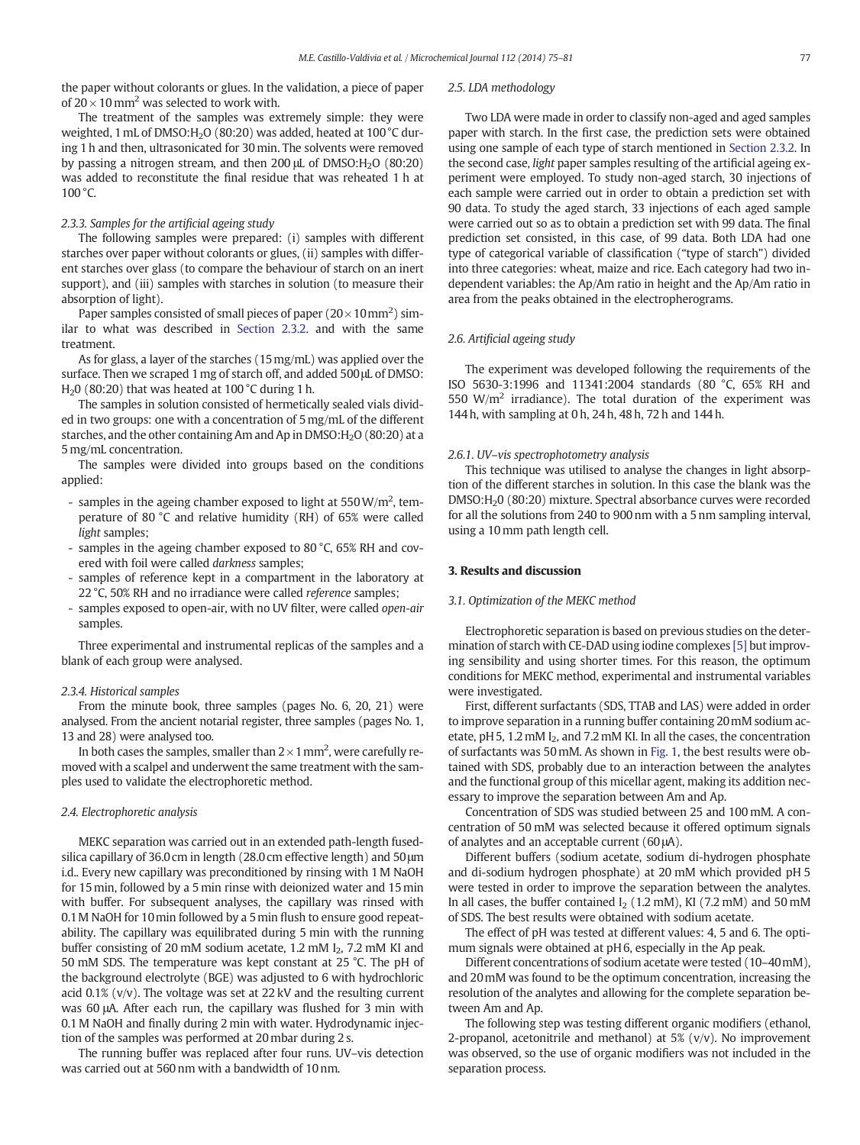the paper without colorants or glues. In the validation, a piece of paper of 20  $\times$  10 mm<sup>2</sup> was selected to work with.

The treatment of the samples was extremely simple: they were weighted, 1 mL of DMSO:H<sub>2</sub>O (80:20) was added, heated at 100 °C during 1 h and then, ultrasonicated for 30min. The solvents were removed by passing a nitrogen stream, and then  $200 \mu$ L of DMSO: $H<sub>2</sub>$ O (80:20) was added to reconstitute the final residue that was reheated 1 h at  $100^{\circ}$ C.

#### 2.3.3. Samples for the artificial ageing study

The following samples were prepared: (i) samples with different starches over paper without colorants or glues, (ii) samples with different starches over glass (to compare the behaviour of starch on an inert support), and (iii) samples with starches in solution (to measure their absorption of light).

Paper samples consisted of small pieces of paper (20 $\times$ 10mm<sup>2</sup>) similar to what was described in [Section 2.3.2.](#page-1-0) and with the same treatment.

As for glass, a layer of the starches (15mg/mL) was applied over the surface. Then we scraped 1 mg of starch off, and added 500 µL of DMSO: H<sub>2</sub>O (80:20) that was heated at 100 $^{\circ}$ C during 1 h.

The samples in solution consisted of hermetically sealed vials divided in two groups: one with a concentration of 5 mg/mL of the different starches, and the other containing Am and Ap in DMSO:H<sub>2</sub>O (80:20) at a 5 mg/mL concentration.

The samples were divided into groups based on the conditions applied:

- samples in the ageing chamber exposed to light at 550 W/m<sup>2</sup>, temperature of 80 °C and relative humidity (RH) of 65% were called light samples;
- samples in the ageing chamber exposed to 80 °C, 65% RH and covered with foil were called darkness samples;
- samples of reference kept in a compartment in the laboratory at 22 °C, 50% RH and no irradiance were called reference samples;
- samples exposed to open-air, with no UV filter, were called open-air samples.

Three experimental and instrumental replicas of the samples and a blank of each group were analysed.

#### 2.3.4. Historical samples

From the minute book, three samples (pages No. 6, 20, 21) were analysed. From the ancient notarial register, three samples (pages No. 1, 13 and 28) were analysed too.

In both cases the samples, smaller than 2  $\times$  1 mm<sup>2</sup>, were carefully removed with a scalpel and underwent the same treatment with the samples used to validate the electrophoretic method.

#### 2.4. Electrophoretic analysis

MEKC separation was carried out in an extended path-length fusedsilica capillary of 36.0 cm in length (28.0 cm effective length) and 50μm i.d.. Every new capillary was preconditioned by rinsing with 1 M NaOH for 15min, followed by a 5 min rinse with deionized water and 15min with buffer. For subsequent analyses, the capillary was rinsed with 0.1M NaOH for 10min followed by a 5min flush to ensure good repeatability. The capillary was equilibrated during 5 min with the running buffer consisting of 20 mM sodium acetate, 1.2 mM  $I_2$ , 7.2 mM KI and 50 mM SDS. The temperature was kept constant at 25 °C. The pH of the background electrolyte (BGE) was adjusted to 6 with hydrochloric acid 0.1% (v/v). The voltage was set at 22 kV and the resulting current was 60 μA. After each run, the capillary was flushed for 3 min with 0.1 M NaOH and finally during 2 min with water. Hydrodynamic injection of the samples was performed at 20 mbar during 2 s.

The running buffer was replaced after four runs. UV–vis detection was carried out at 560 nm with a bandwidth of 10 nm.

#### 2.5. LDA methodology

Two LDA were made in order to classify non-aged and aged samples paper with starch. In the first case, the prediction sets were obtained using one sample of each type of starch mentioned in [Section 2.3.2](#page-1-0). In the second case, light paper samples resulting of the artificial ageing experiment were employed. To study non-aged starch, 30 injections of each sample were carried out in order to obtain a prediction set with 90 data. To study the aged starch, 33 injections of each aged sample were carried out so as to obtain a prediction set with 99 data. The final prediction set consisted, in this case, of 99 data. Both LDA had one type of categorical variable of classification ("type of starch") divided into three categories: wheat, maize and rice. Each category had two independent variables: the Ap/Am ratio in height and the Ap/Am ratio in area from the peaks obtained in the electropherograms.

#### 2.6. Artificial ageing study

The experiment was developed following the requirements of the ISO 5630-3:1996 and 11341:2004 standards (80 °C, 65% RH and 550  $W/m^2$  irradiance). The total duration of the experiment was 144 h, with sampling at 0 h, 24 h, 48 h, 72 h and 144 h.

#### 2.6.1. UV–vis spectrophotometry analysis

This technique was utilised to analyse the changes in light absorption of the different starches in solution. In this case the blank was the DMSO:H<sub>2</sub>0 (80:20) mixture. Spectral absorbance curves were recorded for all the solutions from 240 to 900 nm with a 5 nm sampling interval, using a 10 mm path length cell.

#### 3. Results and discussion

#### 3.1. Optimization of the MEKC method

Electrophoretic separation is based on previous studies on the determination of starch with CE-DAD using iodine complexes [\[5\]](#page-5-0) but improving sensibility and using shorter times. For this reason, the optimum conditions for MEKC method, experimental and instrumental variables were investigated.

First, different surfactants (SDS, TTAB and LAS) were added in order to improve separation in a running buffer containing 20mM sodium acetate, pH 5, 1.2 mM I<sub>2</sub>, and 7.2 mM KI. In all the cases, the concentration of surfactants was 50mM. As shown in [Fig. 1](#page-3-0), the best results were obtained with SDS, probably due to an interaction between the analytes and the functional group of this micellar agent, making its addition necessary to improve the separation between Am and Ap.

Concentration of SDS was studied between 25 and 100 mM. A concentration of 50 mM was selected because it offered optimum signals of analytes and an acceptable current (60 μA).

Different buffers (sodium acetate, sodium di-hydrogen phosphate and di-sodium hydrogen phosphate) at 20 mM which provided pH 5 were tested in order to improve the separation between the analytes. In all cases, the buffer contained  $I_2$  (1.2 mM), KI (7.2 mM) and 50 mM of SDS. The best results were obtained with sodium acetate.

The effect of pH was tested at different values: 4, 5 and 6. The optimum signals were obtained at pH 6, especially in the Ap peak.

Different concentrations of sodium acetate were tested (10–40mM), and 20mM was found to be the optimum concentration, increasing the resolution of the analytes and allowing for the complete separation between Am and Ap.

The following step was testing different organic modifiers (ethanol, 2-propanol, acetonitrile and methanol) at  $5\%$  ( $v/v$ ). No improvement was observed, so the use of organic modifiers was not included in the separation process.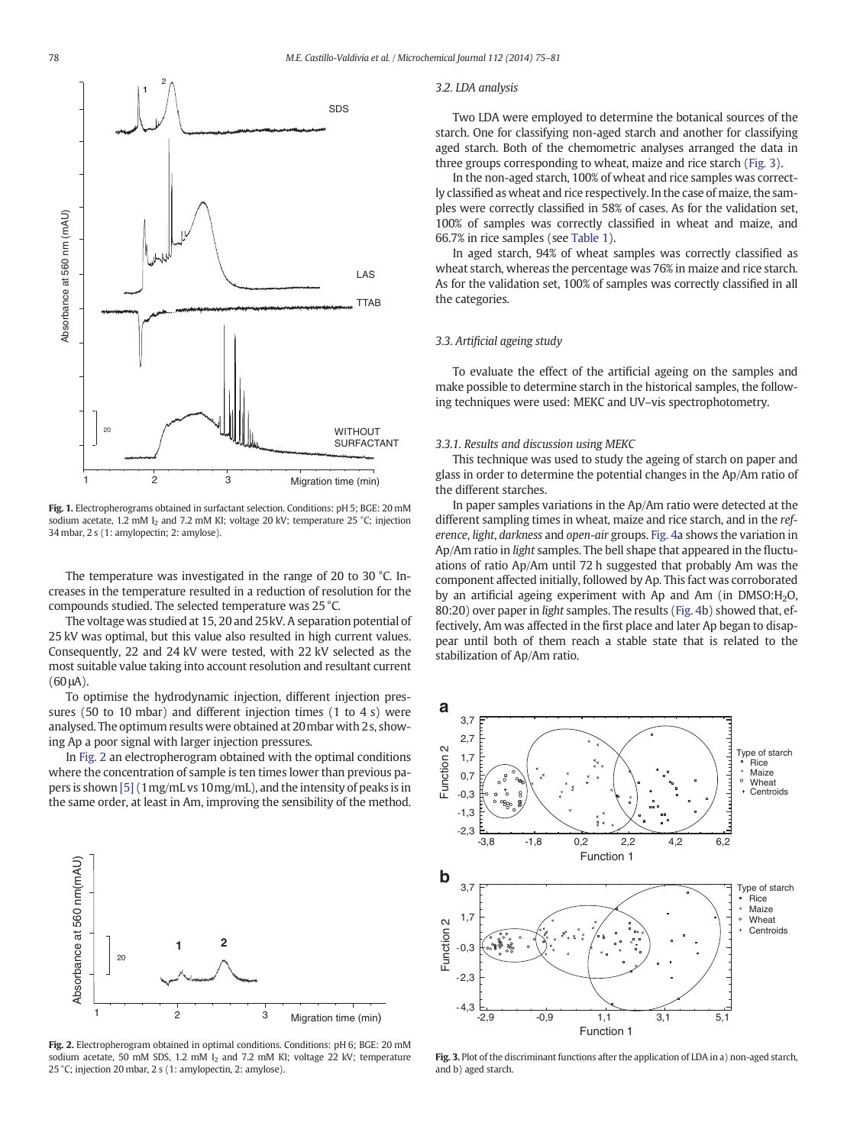<span id="page-3-0"></span>

Fig. 1. Electropherograms obtained in surfactant selection. Conditions: pH 5; BGE: 20 mM sodium acetate, 1.2 mM I<sub>2</sub> and 7.2 mM KI; voltage 20 kV; temperature 25 °C; injection 34 mbar, 2 s (1: amylopectin; 2: amylose).

The temperature was investigated in the range of 20 to 30 °C. Increases in the temperature resulted in a reduction of resolution for the compounds studied. The selected temperature was 25 °C.

The voltage was studied at 15, 20 and 25kV. A separation potential of 25 kV was optimal, but this value also resulted in high current values. Consequently, 22 and 24 kV were tested, with 22 kV selected as the most suitable value taking into account resolution and resultant current (60 μA).

To optimise the hydrodynamic injection, different injection pressures (50 to 10 mbar) and different injection times (1 to 4 s) were analysed. The optimum results were obtained at 20mbar with 2s, showing Ap a poor signal with larger injection pressures.

In Fig. 2 an electropherogram obtained with the optimal conditions where the concentration of sample is ten times lower than previous papers is shown [\[5\]](#page-5-0) (1mg/mL vs 10mg/mL), and the intensity of peaks is in the same order, at least in Am, improving the sensibility of the method.



Fig. 2. Electropherogram obtained in optimal conditions. Conditions: pH 6; BGE: 20 mM sodium acetate, 50 mM SDS, 1.2 mM I<sub>2</sub> and 7.2 mM KI; voltage 22 kV; temperature 25 °C; injection 20 mbar, 2 s (1: amylopectin, 2: amylose).

#### 3.2. LDA analysis

Two LDA were employed to determine the botanical sources of the starch. One for classifying non-aged starch and another for classifying aged starch. Both of the chemometric analyses arranged the data in three groups corresponding to wheat, maize and rice starch (Fig. 3).

In the non-aged starch, 100% of wheat and rice samples was correctly classified as wheat and rice respectively. In the case of maize, the samples were correctly classified in 58% of cases. As for the validation set, 100% of samples was correctly classified in wheat and maize, and 66.7% in rice samples (see [Table 1\)](#page-4-0).

In aged starch, 94% of wheat samples was correctly classified as wheat starch, whereas the percentage was 76% in maize and rice starch. As for the validation set, 100% of samples was correctly classified in all the categories.

#### 3.3. Artificial ageing study

To evaluate the effect of the artificial ageing on the samples and make possible to determine starch in the historical samples, the following techniques were used: MEKC and UV–vis spectrophotometry.

#### 3.3.1. Results and discussion using MEKC

This technique was used to study the ageing of starch on paper and glass in order to determine the potential changes in the Ap/Am ratio of the different starches.

In paper samples variations in the Ap/Am ratio were detected at the different sampling times in wheat, maize and rice starch, and in the reference, light, darkness and open-air groups. [Fig. 4](#page-4-0)a shows the variation in Ap/Am ratio in light samples. The bell shape that appeared in the fluctuations of ratio Ap/Am until 72 h suggested that probably Am was the component affected initially, followed by Ap. This fact was corroborated by an artificial ageing experiment with Ap and Am (in  $DMSO:H<sub>2</sub>O$ , 80:20) over paper in light samples. The results [\(Fig. 4](#page-4-0)b) showed that, effectively, Am was affected in the first place and later Ap began to disappear until both of them reach a stable state that is related to the stabilization of Ap/Am ratio.



Fig. 3. Plot of the discriminant functions after the application of LDA in a) non-aged starch, and b) aged starch.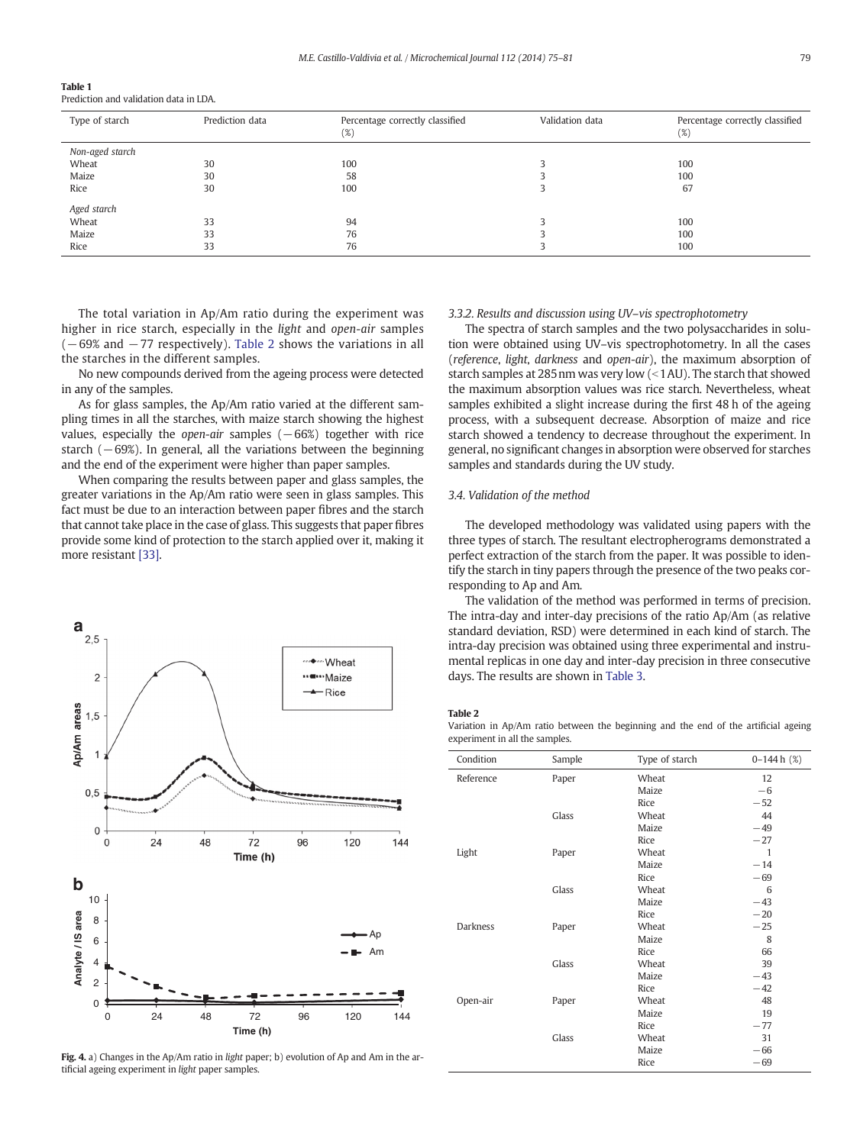<span id="page-4-0"></span>

| Table 1                                |  |  |  |
|----------------------------------------|--|--|--|
| Prediction and validation data in LDA. |  |  |  |

| Type of starch  | Prediction data | Percentage correctly classified<br>(%) | Validation data | Percentage correctly classified<br>(%) |
|-----------------|-----------------|----------------------------------------|-----------------|----------------------------------------|
| Non-aged starch |                 |                                        |                 |                                        |
| Wheat           | 30              | 100                                    |                 | 100                                    |
| Maize           | 30              | 58                                     |                 | 100                                    |
| Rice            | 30              | 100                                    |                 | 67                                     |
| Aged starch     |                 |                                        |                 |                                        |
| Wheat           | 33              | 94                                     |                 | 100                                    |
| Maize           | 33              | 76                                     |                 | 100                                    |
| Rice            | 33              | 76                                     |                 | 100                                    |

The total variation in Ap/Am ratio during the experiment was higher in rice starch, especially in the light and open-air samples  $(-69%$  and  $-77$  respectively). Table 2 shows the variations in all the starches in the different samples.

No new compounds derived from the ageing process were detected in any of the samples.

As for glass samples, the Ap/Am ratio varied at the different sampling times in all the starches, with maize starch showing the highest values, especially the open-air samples  $(-66%)$  together with rice starch  $(-69%)$ . In general, all the variations between the beginning and the end of the experiment were higher than paper samples.

When comparing the results between paper and glass samples, the greater variations in the Ap/Am ratio were seen in glass samples. This fact must be due to an interaction between paper fibres and the starch that cannot take place in the case of glass. This suggests that paper fibres provide some kind of protection to the starch applied over it, making it more resistant [\[33\]](#page-6-0).



Fig. 4. a) Changes in the Ap/Am ratio in light paper; b) evolution of Ap and Am in the artificial ageing experiment in light paper samples.

#### 3.3.2. Results and discussion using UV–vis spectrophotometry

The spectra of starch samples and the two polysaccharides in solution were obtained using UV–vis spectrophotometry. In all the cases (reference, light, darkness and open-air), the maximum absorption of starch samples at 285 nm was very low  $\leq 1$  AU). The starch that showed the maximum absorption values was rice starch. Nevertheless, wheat samples exhibited a slight increase during the first 48 h of the ageing process, with a subsequent decrease. Absorption of maize and rice starch showed a tendency to decrease throughout the experiment. In general, no significant changes in absorption were observed for starches samples and standards during the UV study.

#### 3.4. Validation of the method

The developed methodology was validated using papers with the three types of starch. The resultant electropherograms demonstrated a perfect extraction of the starch from the paper. It was possible to identify the starch in tiny papers through the presence of the two peaks corresponding to Ap and Am.

The validation of the method was performed in terms of precision. The intra-day and inter-day precisions of the ratio Ap/Am (as relative standard deviation, RSD) were determined in each kind of starch. The intra-day precision was obtained using three experimental and instrumental replicas in one day and inter-day precision in three consecutive days. The results are shown in [Table 3](#page-5-0).

#### Table 2

Variation in Ap/Am ratio between the beginning and the end of the artificial ageing experiment in all the samples.

| Condition       | Sample | Type of starch | $0-144h(%)$  |
|-----------------|--------|----------------|--------------|
| Reference       | Paper  | Wheat          | 12           |
|                 |        | Maize          | $-6$         |
|                 |        | Rice           | $-52$        |
|                 | Glass  | Wheat          | 44           |
|                 |        | Maize          | $-49$        |
|                 |        | Rice           | $-27$        |
| Light           | Paper  | Wheat          | $\mathbf{1}$ |
|                 |        | Maize          | $-14$        |
|                 |        | Rice           | $-69$        |
|                 | Glass  | Wheat          | 6            |
|                 |        | Maize          | $-43$        |
|                 |        | Rice           | $-20$        |
| <b>Darkness</b> | Paper  | Wheat          | $-25$        |
|                 |        | Maize          | 8            |
|                 |        | Rice           | 66           |
|                 | Glass  | Wheat          | 39           |
|                 |        | Maize          | $-43$        |
|                 |        | Rice           | $-42$        |
| Open-air        | Paper  | Wheat          | 48           |
|                 |        | Maize          | 19           |
|                 |        | Rice           | $-77$        |
|                 | Glass  | Wheat          | 31           |
|                 |        | Maize          | $-66$        |
|                 |        | Rice           | $-69$        |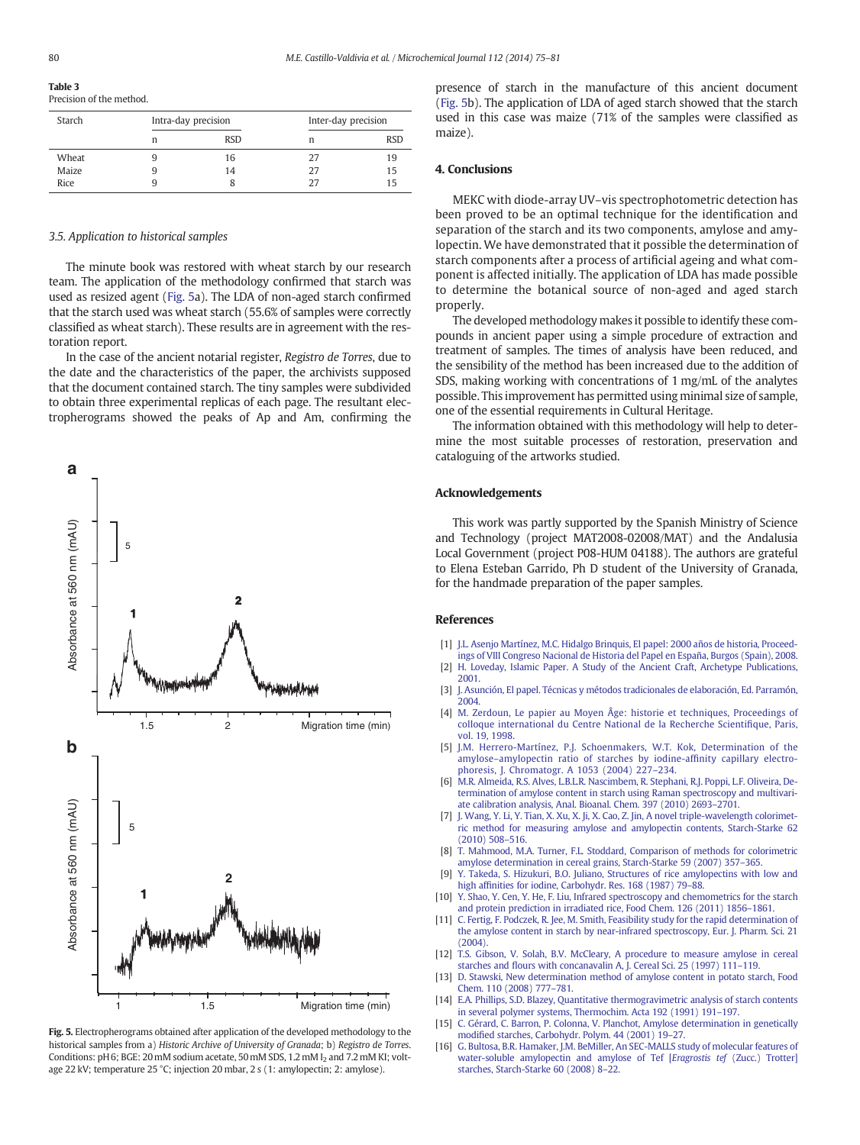<span id="page-5-0"></span>Table 3 Precision of the method.

| Starch | Intra-day precision |            | Inter-day precision |            |
|--------|---------------------|------------|---------------------|------------|
|        | n                   | <b>RSD</b> | n                   | <b>RSD</b> |
| Wheat  |                     | 16         | 27                  | 19         |
| Maize  | q                   | 14         | 27                  | 15         |
| Rice   |                     |            | 27                  | 15         |

#### 3.5. Application to historical samples

The minute book was restored with wheat starch by our research team. The application of the methodology confirmed that starch was used as resized agent (Fig. 5a). The LDA of non-aged starch confirmed that the starch used was wheat starch (55.6% of samples were correctly classified as wheat starch). These results are in agreement with the restoration report.

In the case of the ancient notarial register, Registro de Torres, due to the date and the characteristics of the paper, the archivists supposed that the document contained starch. The tiny samples were subdivided to obtain three experimental replicas of each page. The resultant electropherograms showed the peaks of Ap and Am, confirming the



Fig. 5. Electropherograms obtained after application of the developed methodology to the historical samples from a) Historic Archive of University of Granada; b) Registro de Torres. Conditions: pH 6; BGE: 20 mM sodium acetate, 50 mM SDS, 1.2 mM I<sub>2</sub> and 7.2 mM KI; voltage 22 kV; temperature 25 °C; injection 20 mbar, 2 s (1: amylopectin; 2: amylose).

presence of starch in the manufacture of this ancient document (Fig. 5b). The application of LDA of aged starch showed that the starch used in this case was maize (71% of the samples were classified as maize).

#### 4. Conclusions

MEKC with diode-array UV–vis spectrophotometric detection has been proved to be an optimal technique for the identification and separation of the starch and its two components, amylose and amylopectin. We have demonstrated that it possible the determination of starch components after a process of artificial ageing and what component is affected initially. The application of LDA has made possible to determine the botanical source of non-aged and aged starch properly.

The developed methodology makes it possible to identify these compounds in ancient paper using a simple procedure of extraction and treatment of samples. The times of analysis have been reduced, and the sensibility of the method has been increased due to the addition of SDS, making working with concentrations of 1 mg/mL of the analytes possible. This improvement has permitted using minimal size of sample, one of the essential requirements in Cultural Heritage.

The information obtained with this methodology will help to determine the most suitable processes of restoration, preservation and cataloguing of the artworks studied.

#### Acknowledgements

This work was partly supported by the Spanish Ministry of Science and Technology (project MAT2008-02008/MAT) and the Andalusia Local Government (project P08-HUM 04188). The authors are grateful to Elena Esteban Garrido, Ph D student of the University of Granada, for the handmade preparation of the paper samples.

#### References

- [1] [J.L. Asenjo Martínez, M.C. Hidalgo Brinquis, El papel: 2000 años de historia, Proceed](http://refhub.elsevier.com/S0026-265X(13)00174-4/rf0005)[ings of VIII Congreso Nacional de Historia del Papel en España, Burgos \(Spain\), 2008](http://refhub.elsevier.com/S0026-265X(13)00174-4/rf0005).
- [2] [H. Loveday, Islamic Paper. A Study of the Ancient Craft, Archetype Publications,](http://refhub.elsevier.com/S0026-265X(13)00174-4/rf0010) [2001](http://refhub.elsevier.com/S0026-265X(13)00174-4/rf0010).
- [3] [J. Asunción, El papel. Técnicas y métodos tradicionales de elaboración, Ed. Parramón,](http://refhub.elsevier.com/S0026-265X(13)00174-4/rf0015) [2004](http://refhub.elsevier.com/S0026-265X(13)00174-4/rf0015).
- [4] [M. Zerdoun, Le papier au Moyen Âge: historie et techniques, Proceedings of](http://refhub.elsevier.com/S0026-265X(13)00174-4/rf0020) [colloque international du Centre National de la Recherche Scienti](http://refhub.elsevier.com/S0026-265X(13)00174-4/rf0020)fique, Paris, [vol. 19, 1998](http://refhub.elsevier.com/S0026-265X(13)00174-4/rf0020).
- [5] [J.M. Herrero-Martínez, P.J. Schoenmakers, W.T. Kok, Determination of the](http://refhub.elsevier.com/S0026-265X(13)00174-4/rf0025) amylose–[amylopectin ratio of starches by iodine-af](http://refhub.elsevier.com/S0026-265X(13)00174-4/rf0025)finity capillary electro[phoresis, J. Chromatogr. A 1053 \(2004\) 227](http://refhub.elsevier.com/S0026-265X(13)00174-4/rf0025)–234.
- [6] [M.R. Almeida, R.S. Alves, L.B.L.R. Nascimbem, R. Stephani, R.J. Poppi, L.F. Oliveira, De](http://refhub.elsevier.com/S0026-265X(13)00174-4/rf0030)[termination of amylose content in starch using Raman spectroscopy and multivari](http://refhub.elsevier.com/S0026-265X(13)00174-4/rf0030)[ate calibration analysis, Anal. Bioanal. Chem. 397 \(2010\) 2693](http://refhub.elsevier.com/S0026-265X(13)00174-4/rf0030)–2701.
- [J. Wang, Y. Li, Y. Tian, X. Xu, X. Ji, X. Cao, Z. Jin, A novel triple-wavelength colorimet](http://refhub.elsevier.com/S0026-265X(13)00174-4/rf0035)[ric method for measuring amylose and amylopectin contents, Starch-Starke 62](http://refhub.elsevier.com/S0026-265X(13)00174-4/rf0035) [\(2010\) 508](http://refhub.elsevier.com/S0026-265X(13)00174-4/rf0035)–516.
- [8] [T. Mahmood, M.A. Turner, F.L. Stoddard, Comparison of methods for colorimetric](http://refhub.elsevier.com/S0026-265X(13)00174-4/rf0040) [amylose determination in cereal grains, Starch-Starke 59 \(2007\) 357](http://refhub.elsevier.com/S0026-265X(13)00174-4/rf0040)–365.
- [9] [Y. Takeda, S. Hizukuri, B.O. Juliano, Structures of rice amylopectins with low and](http://refhub.elsevier.com/S0026-265X(13)00174-4/rf0045) high affi[nities for iodine, Carbohydr. Res. 168 \(1987\) 79](http://refhub.elsevier.com/S0026-265X(13)00174-4/rf0045)–88.
- [10] [Y. Shao, Y. Cen, Y. He, F. Liu, Infrared spectroscopy and chemometrics for the starch](http://refhub.elsevier.com/S0026-265X(13)00174-4/rf0050) [and protein prediction in irradiated rice, Food Chem. 126 \(2011\) 1856](http://refhub.elsevier.com/S0026-265X(13)00174-4/rf0050)–1861.
- [11] [C. Fertig, F. Podczek, R. Jee, M. Smith, Feasibility study for the rapid determination of](http://refhub.elsevier.com/S0026-265X(13)00174-4/rf0055) [the amylose content in starch by near-infrared spectroscopy, Eur. J. Pharm. Sci. 21](http://refhub.elsevier.com/S0026-265X(13)00174-4/rf0055) [\(2004\).](http://refhub.elsevier.com/S0026-265X(13)00174-4/rf0055)
- [12] [T.S. Gibson, V. Solah, B.V. McCleary, A procedure to measure amylose in cereal](http://refhub.elsevier.com/S0026-265X(13)00174-4/rf0060) starches and fl[ours with concanavalin A, J. Cereal Sci. 25 \(1997\) 111](http://refhub.elsevier.com/S0026-265X(13)00174-4/rf0060)–119.
- [13] [D. Stawski, New determination method of amylose content in potato starch, Food](http://refhub.elsevier.com/S0026-265X(13)00174-4/rf0065) [Chem. 110 \(2008\) 777](http://refhub.elsevier.com/S0026-265X(13)00174-4/rf0065)–781.
- [14] [E.A. Phillips, S.D. Blazey, Quantitative thermogravimetric analysis of starch contents](http://refhub.elsevier.com/S0026-265X(13)00174-4/rf0070) [in several polymer systems, Thermochim. Acta 192 \(1991\) 191](http://refhub.elsevier.com/S0026-265X(13)00174-4/rf0070)–197.
- [15] [C. Gérard, C. Barron, P. Colonna, V. Planchot, Amylose determination in genetically](http://refhub.elsevier.com/S0026-265X(13)00174-4/rf0075) modifi[ed starches, Carbohydr. Polym. 44 \(2001\) 19](http://refhub.elsevier.com/S0026-265X(13)00174-4/rf0075)–27.
- [16] [G. Bultosa, B.R. Hamaker, J.M. BeMiller, An SEC-MALLS study of molecular features of](http://refhub.elsevier.com/S0026-265X(13)00174-4/rf0080) [water-soluble amylopectin and amylose of Tef \[](http://refhub.elsevier.com/S0026-265X(13)00174-4/rf0080)Eragrostis tef (Zucc.) Trotter] [starches, Starch-Starke 60 \(2008\) 8](http://refhub.elsevier.com/S0026-265X(13)00174-4/rf0080)–22.